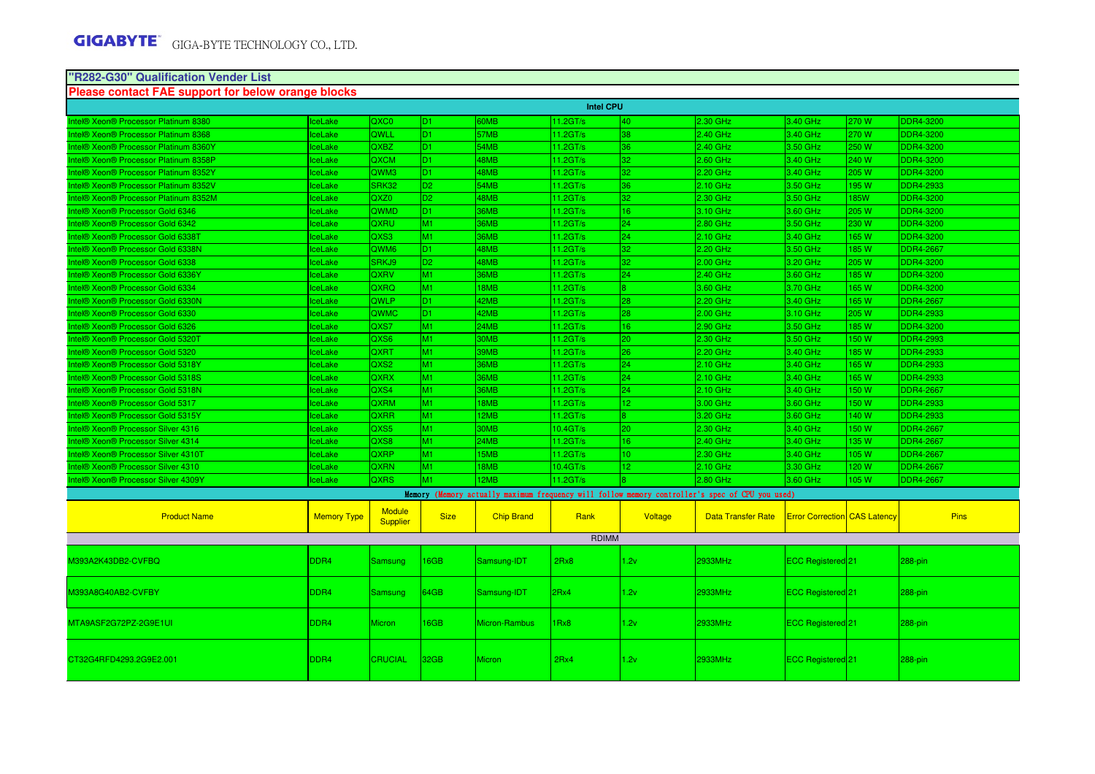#### **"R282-G30" Qualification Vender ListPlease contact FAE support for below orange blocks**

| <b>Intel CPU</b>                      |                    |                                  |                |                   |                     |                 |                                                                                                 |                                     |       |                  |  |
|---------------------------------------|--------------------|----------------------------------|----------------|-------------------|---------------------|-----------------|-------------------------------------------------------------------------------------------------|-------------------------------------|-------|------------------|--|
| Intel® Xeon® Processor Platinum 8380  | ceLake             | QXC0                             | D <sub>1</sub> | <b>OMB</b>        | $11.2$ GT/s         | 40              | 2.30 GHz                                                                                        | 3.40 GHz                            | 270 W | DDR4-3200        |  |
| Intel® Xeon® Processor Platinum 8368  | ceLake             | QWLL                             | ID1.           | 57MB              | $11.2$ GT/s         | 38              | 2.40 GHz                                                                                        | 3.40 GHz                            | 270 W | DDR4-3200        |  |
| Intel® Xeon® Processor Platinum 8360Y | <b>IceLake</b>     | QXBZ                             | D <sub>1</sub> | 54MB              | 11.2GT/s            | 36              | 2.40 GHz                                                                                        | 3.50 GHz                            | 250 W | DDR4-3200        |  |
| Intel® Xeon® Processor Platinum 8358P | <b>IceLake</b>     | QXCM                             | D <sub>1</sub> | 48MB              | 11.2GT/s            | 32              | 2.60 GHz                                                                                        | 3.40 GHz                            | 240 W | DDR4-3200        |  |
| Intel® Xeon® Processor Platinum 8352Y | ceLake             | QWM3                             | D <sub>1</sub> | <b>8MB</b>        | $11.2$ GT/s         | 32 <sub>1</sub> | 2.20 GHz                                                                                        | 3.40 GHz                            | 205 W | DDR4-3200        |  |
| Intel® Xeon® Processor Platinum 8352V | <b>IceLake</b>     | SRK32                            | D <sub>2</sub> | 54MB              | $11.2$ GT/s         | 36              | 2.10 GHz                                                                                        | 3.50 GHz                            | 195 W | DDR4-2933        |  |
| Intel® Xeon® Processor Platinum 8352M | <b>IceLake</b>     | QXZ0                             | D <sub>2</sub> | 48MB              | 11.2GT/s            | 32 <sup>°</sup> | 2.30 GHz                                                                                        | 3.50 GHz                            | 185W  | DDR4-3200        |  |
| Intel® Xeon® Processor Gold 6346      | ceLake             | QWMD                             | D <sub>1</sub> | 36MB              | $11.2$ GT/s         | $16-1$          | 3.10 GHz                                                                                        | 3.60 GHz                            | 205 W | DDR4-3200        |  |
| Intel® Xeon® Processor Gold 6342      | ceLake             | QXRU                             | M <sub>1</sub> | 36MB              | 11.2GT/s            | 24              | 2.80 GHz                                                                                        | 3.50 GHz                            | 230 W | DDR4-3200        |  |
| Intel® Xeon® Processor Gold 6338T     | <b>IceLake</b>     | QXS3                             | M <sub>1</sub> | <b>BOMB</b>       | 11.2GT/s            | 24 <sup>°</sup> | 2.10 GHz                                                                                        | 3.40 GHz                            | 165 W | DDR4-3200        |  |
| Intel® Xeon® Processor Gold 6338N     | <b>IceLake</b>     | <b>QWM6</b>                      | D1.            | 48MB              | $11.2 \text{G}$ T/s | 32              | $2.20$ GHz                                                                                      | 3.50 GHz                            | 185 W | DDR4-2667        |  |
| Intel® Xeon® Processor Gold 6338      | <b>IceLake</b>     | SRKJ9                            | D <sub>2</sub> | 48MB              | 11.2GT/s            | 32              | 2.00 GHz                                                                                        | 3.20 GHz                            | 205 W | DDR4-3200        |  |
| Intel® Xeon® Processor Gold 6336Y     | ceLake             | <b>QXRV</b>                      | M <sub>1</sub> | 36MB              | $11.2$ GT/s         | 24 <sup>°</sup> | 2.40 GHz                                                                                        | 3.60 GHz                            | 185 W | DDR4-3200        |  |
| Intel® Xeon® Processor Gold 6334      | <b>IceLake</b>     | <b>QXRQ</b>                      | M <sub>1</sub> | 18MB              | $11.2$ GT/s         |                 | 3.60 GHz                                                                                        | 3.70 GHz                            | 165 W | DDR4-3200        |  |
| Intel® Xeon® Processor Gold 6330N     | ceLake             | <b>QWLP</b>                      | D1.            | 42MB              | $11.2$ GT/s         | 28              | 2.20 GHz                                                                                        | 3.40 GHz                            | 165 W | DDR4-2667        |  |
| Intel® Xeon® Processor Gold 6330      | ceLake             | QWMC                             | D <sub>1</sub> | 42MB              | $11.2$ GT/s         | 28              | 2.00 GHz                                                                                        | 3.10 GHz                            | 205 W | DDR4-2933        |  |
| Intel® Xeon® Processor Gold 6326      | ceLake             | QXS7                             | M1             | 24MB              | 11.2GT/s            | $16-1$          | 2.90 GHz                                                                                        | 3.50 GHz                            | 185 W | DDR4-3200        |  |
| Intel® Xeon® Processor Gold 5320T     | <b>IceLake</b>     | QXS6                             | M <sub>1</sub> | 30MB              | 11.2GT/s            | 20              | 2.30 GHz                                                                                        | 3.50 GHz                            | 150 W | DDR4-2993        |  |
| Intel® Xeon® Processor Gold 5320      | <b>IceLake</b>     | <b>QXRT</b>                      | M <sub>1</sub> | 39MB              | $11.2 \text{G}$ T/s | 26              | $2.20$ GHz                                                                                      | 3.40 GHz                            | 185 W | <b>DDR4-2933</b> |  |
| Intel® Xeon® Processor Gold 5318Y     | ceLake             | QXS <sub>2</sub>                 | M <sub>1</sub> | <b>BOMB</b>       | 11.2GT/s            | 24              | 2.10 GHz                                                                                        | 3.40 GHz                            | 165 W | DDR4-2933        |  |
| Intel® Xeon® Processor Gold 5318S     | ceLake             | <b>QXRX</b>                      | M1             | <b>BOMB</b>       | 11.2GT/s            | 24              | 2.10 GHz                                                                                        | 3.40 GHz                            | 165 W | DDR4-2933        |  |
| Intel® Xeon® Processor Gold 5318N     | <b>IceLake</b>     | QXS4                             | M <sub>1</sub> | 36MB              | $11.2$ GT/s         | 24              | 2.10 GHz                                                                                        | 3.40 GHz                            | 150 W | DDR4-2667        |  |
| Intel® Xeon® Processor Gold 5317      | <b>IceLake</b>     | <b>QXRM</b>                      | M <sub>1</sub> | 18MB              | $11.2$ GT/s         | 12 <sup>2</sup> | 3.00 GHz                                                                                        | 3.60 GHz                            | 150 W | DDR4-2933        |  |
| Intel® Xeon® Processor Gold 5315Y     | ceLake             | <b>QXRR</b>                      | M <sub>1</sub> | 2MB               | 11.2GT/s            |                 | 3.20 GHz                                                                                        | 3.60 GHz                            | 140 W | DDR4-2933        |  |
| Intel® Xeon® Processor Silver 4316    | ceLake             | QXS5                             | M <sub>1</sub> | 30MB              | 10.4GT/s            | 20 <sup>°</sup> | 2.30 GHz                                                                                        | 3.40 GHz                            | 150 W | DDR4-2667        |  |
| Intel® Xeon® Processor Silver 4314    | lceLake            | QXS8                             | M <sub>1</sub> | 24MB              | 11.2GT/s            | $16-1$          | 2.40 GHz                                                                                        | 3.40 GHz                            | 135 W | DDR4-2667        |  |
| Intel® Xeon® Processor Silver 4310T   | <b>IceLake</b>     | <b>QXRP</b>                      | M <sub>1</sub> | 15MB              | $11.2 \text{G}$ T/s | 10 <sup>1</sup> | $2.30$ GHz                                                                                      | 3.40 GHz                            | 105 W | DDR4-2667        |  |
| Intel® Xeon® Processor Silver 4310    | <b>IceLake</b>     | <b>QXRN</b>                      | M <sub>1</sub> | 8MB               | 10.4GT/s            | 12 <sup>2</sup> | 2.10 GHz                                                                                        | 3.30 GHz                            | 120 W | DDR4-2667        |  |
| ntel® Xeon® Processor Silver 4309Y    | ceLake             | <b>QXRS</b>                      | M1             | 2MB               | $11.2$ GT/s         |                 | 2.80 GHz                                                                                        | 3.60 GHz                            | 105 W | DDR4-2667        |  |
|                                       |                    |                                  |                |                   |                     |                 | Memory (Memory actually maximum frequency will follow memory controller's spec of CPU you used) |                                     |       |                  |  |
| <b>Product Name</b>                   | <b>Memory Type</b> | <b>Module</b><br><b>Supplier</b> | <b>Size</b>    | <b>Chip Brand</b> | Rank                | Voltage         | <b>Data Transfer Rate</b>                                                                       | <b>Error Correction CAS Latency</b> |       | <b>Pins</b>      |  |
|                                       |                    |                                  |                |                   | <b>RDIMM</b>        |                 |                                                                                                 |                                     |       |                  |  |
| M393A2K43DB2-CVFBQ                    | DDR <sub>4</sub>   | <b>Samsung</b>                   | 16GB           | Samsung-IDT       | 2Rx8                | 1.2v            | 2933MHz                                                                                         | ECC Registered 21                   |       | 288-pin          |  |
| M393A8G40AB2-CVFBY                    | DDR4               | Samsung                          | 64GB           | Samsung-IDT       | 2Rx4                | 1.2v            | 2933MHz                                                                                         | ECC Registered 21                   |       | 288-pin          |  |
| MTA9ASF2G72PZ-2G9E1UI                 | DDR <sub>4</sub>   | <b>Micron</b>                    | 16GB           | Micron-Rambus     | 1Rx8                | 1.2v            | 2933MHz                                                                                         | ECC Registered 21                   |       | 288-pin          |  |
| CT32G4RFD4293.2G9E2.001               | DDR <sub>4</sub>   | <b>CRUCIAL</b>                   | 32GB           | Micron            | 2Rx4                | 1.2v            | <b>2933MHz</b>                                                                                  | <b>ECC Registered</b> 21            |       | 288-pin          |  |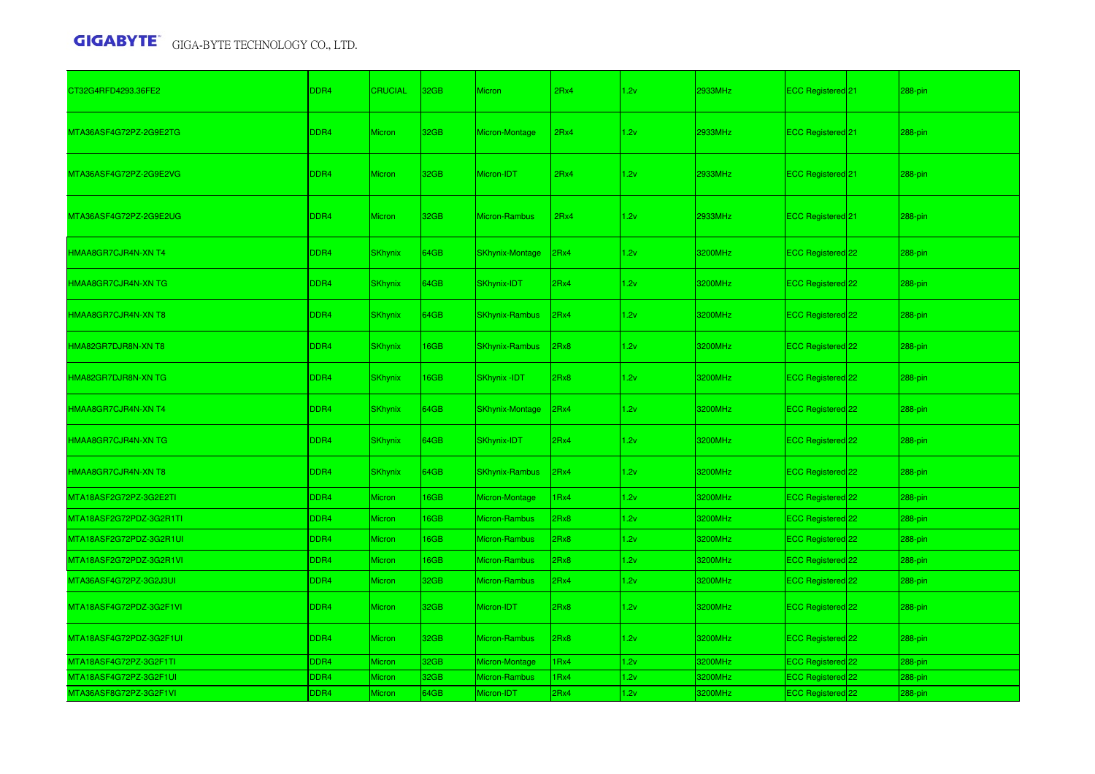| CT32G4RFD4293.36FE2     | DDR4             | <b>CRUCIAL</b> | 32GB        | <b>Micron</b>          | 2Rx4 | 1.2v | 2933MHz | ECC Registered 21              | 288-pin |
|-------------------------|------------------|----------------|-------------|------------------------|------|------|---------|--------------------------------|---------|
| MTA36ASF4G72PZ-2G9E2TG  | DDR <sub>4</sub> | Micron         | 32GB        | Micron-Montage         | 2Rx4 | 1.2v | 2933MHz | ECC Registered 21              | 288-pin |
| MTA36ASF4G72PZ-2G9E2VG  | DDR <sub>4</sub> | Micron         | 32GB        | Micron-IDT             | 2Rx4 | 1.2v | 2933MHz | ECC Registered 21              | 288-pin |
| MTA36ASF4G72PZ-2G9E2UG  | DDR <sub>4</sub> | <b>Micron</b>  | 32GB        | Micron-Rambus          | 2Rx4 | 1.2v | 2933MHz | ECC Registered <sup>21</sup>   | 288-pin |
| HMAA8GR7CJR4N-XN T4     | DDR4             | <b>SKhynix</b> | 64GB        | <b>SKhynix-Montage</b> | 2Rx4 | 1.2v | 3200MHz | ECC Registered 22              | 288-pin |
| HMAA8GR7CJR4N-XN TG     | DDR <sub>4</sub> | <b>SKhynix</b> | 64GB        | SKhynix-IDT            | 2Rx4 | 1.2v | 3200MHz | ECC Registered 22              | 288-pin |
| HMAA8GR7CJR4N-XN T8     | DDR4             | <b>SKhynix</b> | 64GB        | <b>SKhynix-Rambus</b>  | 2Rx4 | 1.2v | 3200MHz | ECC Registered 22              | 288-pin |
| HMA82GR7DJR8N-XN T8     | DDR4             | <b>SKhynix</b> | 16GB        | <b>SKhynix-Rambus</b>  | 2Rx8 | 1.2v | 3200MHz | ECC Registered 22              | 288-pin |
| HMA82GR7DJR8N-XN TG     | DDR <sub>4</sub> | <b>SKhynix</b> | <b>I6GB</b> | SKhynix - IDT          | 2Rx8 | 1.2v | 3200MHz | ECC Registered <sup>22</sup>   | 288-pin |
| HMAA8GR7CJR4N-XN T4     | DDR4             | <b>SKhynix</b> | 64GB        | <b>SKhynix-Montage</b> | 2Rx4 | 1.2v | 3200MHz | ECC Registered 22              | 288-pin |
| HMAA8GR7CJR4N-XN TG     | DDR4             | <b>SKhynix</b> | 64GB        | SKhynix-IDT            | 2Rx4 | 1.2v | 3200MHz | ECC Registered 22              | 288-pin |
| HMAA8GR7CJR4N-XN T8     | DDR4             | <b>SKhynix</b> | 64GB        | <b>SKhynix-Rambus</b>  | 2Rx4 | 1.2v | 3200MHz | ECC Registered 22              | 288-pin |
| MTA18ASF2G72PZ-3G2E2TI  | DDR4             | Micron         | <b>I6GB</b> | Micron-Montage         | IRx4 | 1.2v | 3200MHz | ECC Registered 22              | 288-pin |
| MTA18ASF2G72PDZ-3G2R1TI | DDR4             | Micron         | 16GB        | Micron-Rambus          | 2Rx8 | 1.2v | 3200MHz | ECC Registered 22              | 288-pin |
| MTA18ASF2G72PDZ-3G2R1UI | DDR4             | <b>Micron</b>  | <b>I6GB</b> | Micron-Rambus          | 2Rx8 | 1.2v | 3200MHz | ECC Registered 22              | 288-pin |
| MTA18ASF2G72PDZ-3G2R1VI | DDR4             | Micron         | <b>I6GB</b> | Micron-Rambus          | 2Rx8 | 1.2v | 3200MHz | ECC Registered 22              | 288-pin |
| MTA36ASF4G72PZ-3G2J3UI  | DDR4             | <b>Micron</b>  | 32GB        | Micron-Rambus          | 2Rx4 | 1.2v | 3200MHz | ECC Registered 22              | 288-pin |
| MTA18ASF4G72PDZ-3G2F1VI | DDR4             | <b>Micron</b>  | 32GB        | Micron-IDT             | 2Rx8 | 1.2v | 3200MHz | ECC Registered 22              | 288-pin |
| MTA18ASF4G72PDZ-3G2F1UI | DDR <sub>4</sub> | <b>Micron</b>  | 32GB        | Micron-Rambus          | 2Rx8 | 1.2v | 3200MHz | ECC Registered <sup>22</sup>   | 288-pin |
| MTA18ASF4G72PZ-3G2F1TI  | DDR4             | Micron         | 32GB        | Micron-Montage         | IRx4 | 1.2v | 3200MHz | ECC Registered 22              | 288-pin |
| MTA18ASF4G72PZ-3G2F1UI  | DDR4             | <b>Micron</b>  | 32GB        | Micron-Rambus          | IRx4 | 1.2v | 3200MHz | ECC Registered <sup>1</sup> 22 | 288-pin |
| MTA36ASF8G72PZ-3G2F1VI  | DDR <sub>4</sub> | Micron         | 64GB        | Micron-IDT             | 2Rx4 | 1.2v | 3200MHz | ECC Registered 22              | 288-pin |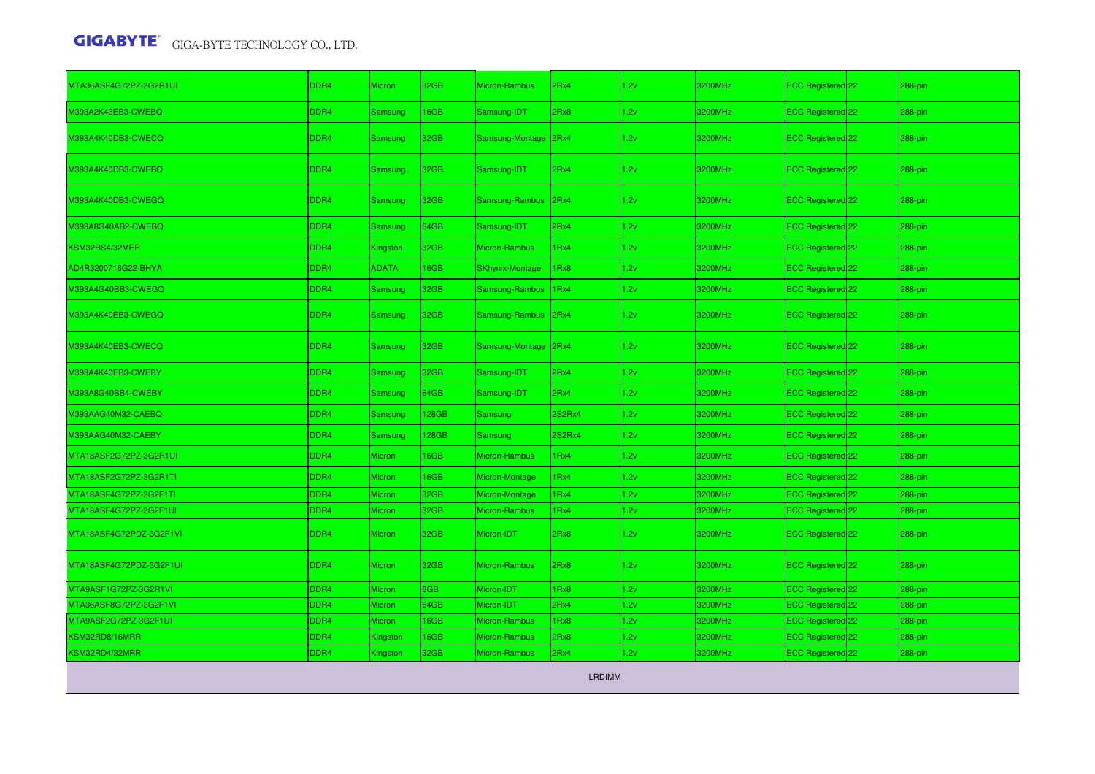| MTA36ASF4G72PZ-3G2R1UI                    | DDR4 | Micron         | 32GB             | Micron-Rambus          | 2Rx4          | 1.2v | 3200MHz | ECC Registered 22            | 288-pin |
|-------------------------------------------|------|----------------|------------------|------------------------|---------------|------|---------|------------------------------|---------|
| M393A2K43EB3-CWEBQ                        | DDR4 | Samsung        | 16GB             | Samsung-IDT            | 2Rx8          | 1.2v | 3200MHz | ECC Registered 22            | 288-pin |
| M393A4K40DB3-CWECQ                        | DDR4 | Samsung        | 32 <sub>GB</sub> | Samsung-Montage 2Rx4   |               | 1.2v | 3200MHz | ECC Registered 22            | 288-pin |
| M393A4K40DB3-CWEBQ                        | DDR4 | Samsung        | 32 <sub>GB</sub> | Samsung-IDT            | 2Rx4          | 1.2v | 3200MHz | ECC Registered <sup>22</sup> | 288-pin |
| M393A4K40DB3-CWEGQ                        | DDR4 | Samsung        | 32 <sub>GB</sub> | Samsung-Rambus 2Rx4    |               | 1.2v | 3200MHz | ECC Registered 22            | 288-pin |
| M393A8G40AB2-CWEBQ                        | DDR4 | <b>Samsung</b> | 64GB             | Samsung-IDT            | 2Rx4          | 1.2v | 3200MHz | ECC Registered 22            | 288-pin |
| KSM32RS4/32MER                            | DDR4 | Kingston       | 32GB             | Micron-Rambus          | 1Rx4          | 1.2v | 3200MHz | ECC Registered 22            | 288-pin |
| AD4R3200716G22-BHYA                       | DDR4 | <b>ADATA</b>   | 16GB             | <b>SKhynix-Montage</b> | 1Rx8          | 1.2v | 3200MHz | ECC Registered 22            | 288-pin |
| M393A4G40BB3-CWEGQ                        | DDR4 | Samsung        | 32GB             | Samsung-Rambus         | 1Rx4          | 1.2v | 3200MHz | ECC Registered 22            | 288-pin |
| M393A4K40EB3-CWEGQ                        | DDR4 | Samsung        | 32 <sub>GB</sub> | Samsung-Rambus 2Rx4    |               | 1.2v | 3200MHz | ECC Registered 22            | 288-pin |
| M393A4K40EB3-CWECQ                        | DDR4 | Samsung        | 32GB             | Samsung-Montage 2Rx4   |               | 1.2v | 3200MHz | ECC Registered 22            | 288-pin |
| M393A4K40EB3-CWEBY                        | DDR4 | Samsung        | 32GB             | Samsung-IDT            | 2Rx4          | 1.2v | 3200MHz | ECC Registered 22            | 288-pin |
| M393A8G40BB4-CWEBY                        | DDR4 | Samsung        | 64GB             | Samsung-IDT            | 2Rx4          | 1.2v | 3200MHz | ECC Registered 22            | 288-pin |
| M393AAG40M32-CAEBQ                        | DDR4 | Samsung        | 128GB            | Samsung                | <b>2S2Rx4</b> | 1.2v | 3200MHz | ECC Registered 22            | 288-pin |
| M393AAG40M32-CAEBY                        | DDR4 | Samsung        | 128GB            | Samsung                | 2S2Rx4        | 1.2v | 3200MHz | ECC Registered 22            | 288-pin |
| MTA18ASF2G72PZ-3G2R1UI                    | DDR4 | <b>Micron</b>  | 16GB             | <b>Micron-Rambus</b>   | 1Rx4          | 1.2v | 3200MHz | ECC Registered 22            | 288-pin |
| MTA18ASF2G72PZ-3G2R1TI                    | DDR4 | Micron         | 16GB             | Micron-Montage         | 1Rx4          | 1.2v | 3200MHz | ECC Registered 22            | 288-pin |
| MTA18ASF4G72PZ-3G2F1TI                    | DDR4 | Micron         | 32GB             | Micron-Montage         | 1Rx4          | 1.2v | 3200MHz | ECC Registered 22            | 288-pin |
| MTA18ASF4G72PZ-3G2F1UI                    | DDR4 | Micron         | 32GB             | Micron-Rambus          | 1Rx4          | 1.2v | 3200MHz | ECC Registered 22            | 288-pin |
| MTA18ASF4G72PDZ-3G2F1VI                   | DDR4 | <b>Micron</b>  | 32GB             | Micron-IDT             | 2Rx8          | 1.2v | 3200MHz | ECC Registered 22            | 288-pin |
| MTA18ASF4G72PDZ-3G2F1UI                   | DDR4 | Micron         | 32GB             | Micron-Rambus          | 2Rx8          | 1.2v | 3200MHz | ECC Registered 22            | 288-pin |
| MTA9ASF1G72PZ-3G2R1VI                     | DDR4 | Micron         | 8GB              | Micron-IDT             | 1Rx8          | 1.2v | 3200MHz | ECC Registered 22            | 288-pin |
| MTA36ASF8G72PZ-3G2F1VI                    | DDR4 | Micron         | 64GB             | Micron-IDT             | 2Rx4          | 1.2v | 3200MHz | ECC Registered 22            | 288-pin |
| MTA9ASF2G72PZ-3G2F1UI                     | DDR4 | Micron         | 16GB             | Micron-Rambus          | 1Rx8          | 1.2v | 3200MHz | ECC Registered 22            | 288-pin |
| <b><sm32rd8 16mrr<="" b=""></sm32rd8></b> | DDR4 | Kingston       | <b>I6GB</b>      | Micron-Rambus          | 2Rx8          | 1.2v | 3200MHz | ECC Registered 22            | 288-pin |
| KSM32RD4/32MRR                            | DDR4 | Kingston       | 32GB             | Micron-Rambus          | 2Rx4          | 1.2v | 3200MHz | ECC Registered 22            | 288-pin |

LRDIMM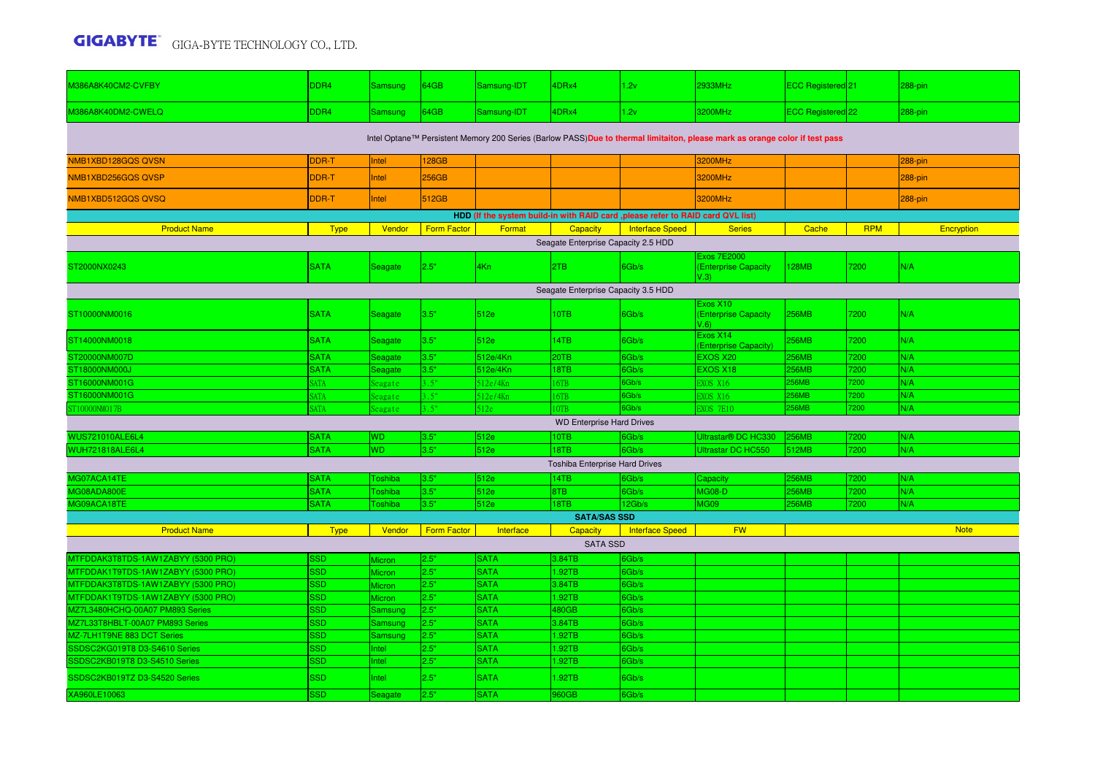| M386A8K40CM2-CVFBY                                                                                                          | DDR <sub>4</sub>       | <b>Samsung</b>     | 164GB              | Samsung-IDT                | 4DRx4                               | 1.2v                   | <b>2933MHz</b>                                     | ECC Registered 21            |            | 288-pin     |  |  |  |
|-----------------------------------------------------------------------------------------------------------------------------|------------------------|--------------------|--------------------|----------------------------|-------------------------------------|------------------------|----------------------------------------------------|------------------------------|------------|-------------|--|--|--|
| M386A8K40DM2-CWELQ                                                                                                          | DDR4                   | <b>Samsung</b>     | 64GB               | Samsung-IDT                | 4DRx4                               | 1.2v                   | 3200MHz                                            | ECC Registered <sup>22</sup> |            | 288-pin     |  |  |  |
| Intel Optane™ Persistent Memory 200 Series (Barlow PASS)Due to thermal limitaiton, please mark as orange color if test pass |                        |                    |                    |                            |                                     |                        |                                                    |                              |            |             |  |  |  |
| NMB1XBD128GQS QVSN                                                                                                          | DDR-T                  | Intel              | 128GB              |                            |                                     |                        | 3200MHz                                            |                              |            | 288-pin     |  |  |  |
| NMB1XBD256GQS QVSP                                                                                                          | DDR-T                  | Intel              | 256GB              |                            |                                     |                        | 3200MHz                                            |                              |            | 288-pin     |  |  |  |
| NMB1XBD512GQS QVSQ                                                                                                          | DDR-T                  | Intel              | 512GB              |                            |                                     |                        | 3200MHz                                            |                              |            | 288-pin     |  |  |  |
| HDD (If the system build-in with RAID card , please refer to RAID card QVL list)                                            |                        |                    |                    |                            |                                     |                        |                                                    |                              |            |             |  |  |  |
| <b>Product Name</b>                                                                                                         | <b>Type</b>            | Vendor             | <b>Form Factor</b> | Format                     | Capacity                            | <b>Interface Speed</b> | <b>Series</b>                                      | Cache                        | <b>RPM</b> | Encryption  |  |  |  |
|                                                                                                                             |                        |                    |                    |                            | Seagate Enterprise Capacity 2.5 HDD |                        |                                                    |                              |            |             |  |  |  |
| ST2000NX0243                                                                                                                | <b>SATA</b>            | Seagate            | 2.5"               | 4Kn                        | 2TB                                 | 6Gb/s                  | Exos 7E2000<br><b>(Enterprise Capacity</b><br>V.3) | 28MB                         | 7200       | N/A         |  |  |  |
| Seagate Enterprise Capacity 3.5 HDD                                                                                         |                        |                    |                    |                            |                                     |                        |                                                    |                              |            |             |  |  |  |
| ST10000NM0016                                                                                                               | <b>SATA</b>            | Seagate            | 3.5"               | 512e                       | 10TB                                | 6Gb/s                  | Exos X10<br><b>(Enterprise Capacity</b><br>V.6     | 256MB                        | 7200       | N/A         |  |  |  |
| ST14000NM0018                                                                                                               | <b>SATA</b>            | Seagate            | 3.5"               | 512e                       | 14TB                                | 6Gb/s                  | Exos X14<br>(Enterprise Capacity)                  | 256MB                        | 7200       | N/A         |  |  |  |
| ST20000NM007D                                                                                                               | <b>SATA</b>            | Seagate            | 3.5"               | 512e/4Kn                   | 20TB                                | 6Gb/s                  | EXOS X20                                           | 256MB                        | 7200       | N/A         |  |  |  |
| ST18000NM000J                                                                                                               | <b>SATA</b>            | Seagate            | 3.5"               | 512e/4Kn                   | 18TB                                | 6Gb/s                  | EXOS X18                                           | 256MB                        | 7200       | N/A         |  |  |  |
| ST16000NM001G                                                                                                               | <b>ATA</b>             | Seagate            | 3.5"               | 512e/4Kn                   | 6TB                                 | 6Gb/s                  | XOS X16                                            | 56MB                         | 7200       | N/A         |  |  |  |
| ST16000NM001G                                                                                                               | ATA                    | Seagate            | 3.5"               | 512e/4Kn                   | 16TB                                | 6Gb/s                  | XOS X16                                            | 56MB                         | 7200       | N/A         |  |  |  |
| ST10000NM017B                                                                                                               | <b>ATA</b>             | Seagate            | 3.5"               | 512e                       |                                     | 6Gb/s                  | XOS 7E10                                           | <b>56MB</b>                  | 7200       | N/A         |  |  |  |
|                                                                                                                             |                        |                    |                    |                            | <b>WD Enterprise Hard Drives</b>    |                        |                                                    |                              |            |             |  |  |  |
| WUS721010ALE6L4                                                                                                             | <b>SATA</b>            | <b>WD</b>          | 3.5"               | 512e                       | 10TB                                | 6Gb/s                  | Ultrastar <sup>®</sup> DC HC330                    | 256MB                        | 7200       | N/A         |  |  |  |
| <b>WUH721818ALE6L4</b>                                                                                                      | <b>SATA</b>            | <b>WD</b>          | 3.5"               | 512e                       | 18TB                                | 6Gb/s                  | Ultrastar DC HC550                                 | 512MB                        | 7200       | N/A         |  |  |  |
|                                                                                                                             |                        |                    |                    |                            | Toshiba Enterprise Hard Drives      |                        |                                                    |                              |            |             |  |  |  |
| MG07ACA14TE                                                                                                                 | <b>SATA</b>            | <b>Toshiba</b>     | 3.5"               | 512e                       | 14TB                                | 6Gb/s                  | Capacity                                           | <b>256MB</b>                 | 7200       | N/A         |  |  |  |
| MG08ADA800E                                                                                                                 | <b>SATA</b>            | <b>Toshiba</b>     | 3.5"               | 512e                       | 8TB                                 | 6Gb/s                  | <b>MG08-D</b>                                      | <b>256MB</b>                 | 7200       | N/A         |  |  |  |
| MG09ACA18TE                                                                                                                 | <b>SATA</b>            | Toshiba            | 3.5"               | 512e                       | 18TB                                | 12Gb/s                 | MG09                                               | <b>256MB</b>                 | 7200       | N/A         |  |  |  |
|                                                                                                                             |                        |                    |                    |                            | <b>SATA/SAS SSD</b>                 |                        |                                                    |                              |            |             |  |  |  |
| <b>Product Name</b>                                                                                                         | <b>Type</b>            | Vendor             | <b>Form Factor</b> | Interface                  | Capacity                            | <b>Interface Speed</b> | <b>FW</b>                                          |                              |            | <b>Note</b> |  |  |  |
|                                                                                                                             |                        |                    |                    |                            | <b>SATA SSD</b>                     |                        |                                                    |                              |            |             |  |  |  |
| MTFDDAK3T8TDS-1AW1ZABYY (5300 PRO)                                                                                          | <b>SD</b>              | Micron             | 2.5"               | <b>SATA</b>                | 3.84TB                              | 6Gb/s                  |                                                    |                              |            |             |  |  |  |
| MTFDDAK1T9TDS-1AW1ZABYY (5300 PRO)                                                                                          | SSD                    | Micron             | 2.5"               | <b>SATA</b>                | .92TB                               | 6Gb/s                  |                                                    |                              |            |             |  |  |  |
| MTFDDAK3T8TDS-1AW1ZABYY (5300 PRO)                                                                                          | <b>SSD</b>             | Micron             | 2.5"               | <b>SATA</b>                | 3.84TB                              | 6Gb/s                  |                                                    |                              |            |             |  |  |  |
| MTFDDAK1T9TDS-1AW1ZABYY (5300 PRO)                                                                                          | SSD                    | <b>Aicron</b>      | 2.5"<br>2.5"       | <b>SATA</b><br><b>SATA</b> | 1.92TB<br>480GB                     | 6Gb/s                  |                                                    |                              |            |             |  |  |  |
| MZ7L3480HCHQ-00A07 PM893 Series<br>MZ7L33T8HBLT-00A07 PM893 Series                                                          | <b>SD</b><br><b>SD</b> | Samsuno<br>Samsung | 2.5"               | <b>SATA</b>                | 3.84TB                              | 6Gb/s<br>6Gb/s         |                                                    |                              |            |             |  |  |  |
| MZ-7LH1T9NE 883 DCT Series                                                                                                  | <b>SSD</b>             | Samsung            | 2.5"               | <b>SATA</b>                | 1.92TB                              | 6Gb/s                  |                                                    |                              |            |             |  |  |  |
| SSDSC2KG019T8 D3-S4610 Series                                                                                               | <b>SSD</b>             | Intel              | 2.5"               | <b>SATA</b>                | 1.92TB                              | 6Gb/s                  |                                                    |                              |            |             |  |  |  |
| SSDSC2KB019T8 D3-S4510 Series                                                                                               | <b>SD</b>              | Intel              | 2.5"               | <b>SATA</b>                | .92TB                               | 6Gb/s                  |                                                    |                              |            |             |  |  |  |
| SSDSC2KB019TZ D3-S4520 Series                                                                                               | <b>SSD</b>             | Intel              | 2.5"               | <b>SATA</b>                | .92TB                               | 6Gb/s                  |                                                    |                              |            |             |  |  |  |
| XA960LE10063                                                                                                                | <b>SD</b>              | Seagate            | 2.5"               | <b>SATA</b>                | 960GB                               | 6Gb/s                  |                                                    |                              |            |             |  |  |  |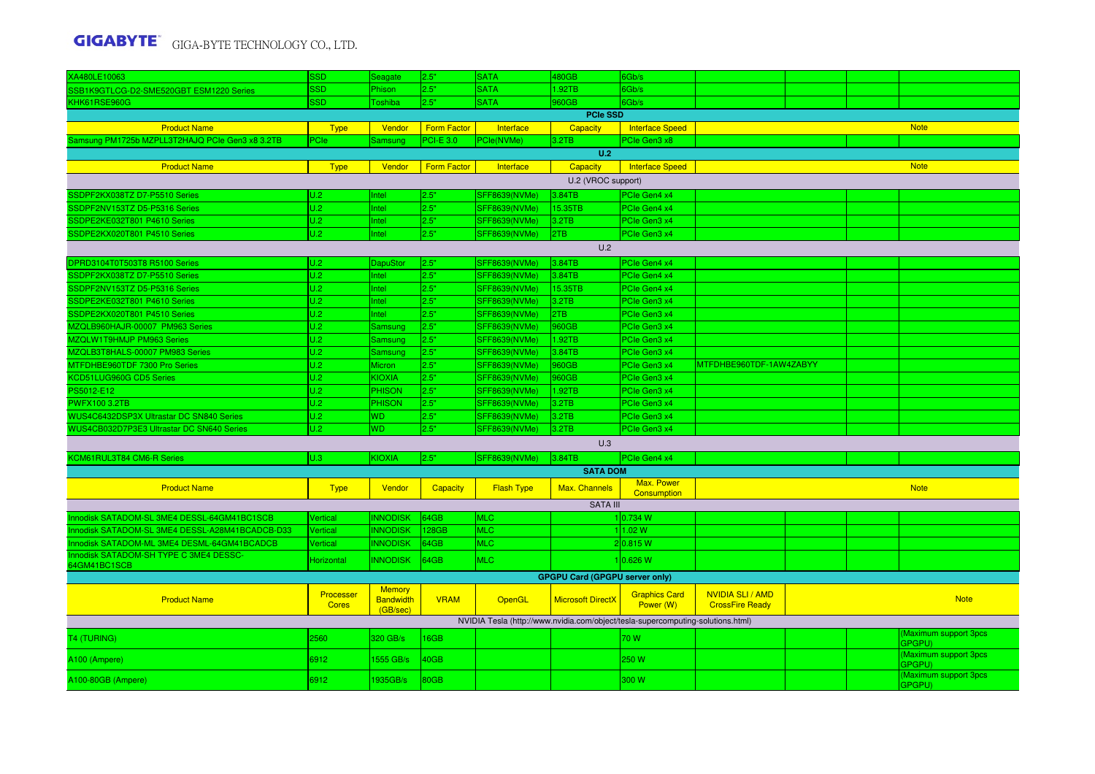| XA480LE10063                                           | SSD                       | Seagate                                       | 2.5"               | <b>SATA</b>          | 480GB                                 | 6Gb/s                                                                           |                                                 |  |  |                                              |  |  |
|--------------------------------------------------------|---------------------------|-----------------------------------------------|--------------------|----------------------|---------------------------------------|---------------------------------------------------------------------------------|-------------------------------------------------|--|--|----------------------------------------------|--|--|
| SB1K9GTLCG-D2-SME520GBT ESM1220 Series                 | SSD                       | Phison                                        | 2.5"               | <b>SATA</b>          | 1.92TB                                | Gb/s                                                                            |                                                 |  |  |                                              |  |  |
| KHK61RSE960G                                           | SSD.                      | Toshiba                                       | 2.5"               | <b>SATA</b>          | 960GB                                 | Gb/s                                                                            |                                                 |  |  |                                              |  |  |
|                                                        |                           |                                               |                    |                      | <b>PCIe SSD</b>                       |                                                                                 |                                                 |  |  |                                              |  |  |
| <b>Product Name</b>                                    | <b>Type</b>               | Vendor                                        | <b>Form Factor</b> | Interface            | <b>Capacity</b>                       | <b>Interface Speed</b>                                                          |                                                 |  |  | <b>Note</b>                                  |  |  |
| Samsung PM1725b MZPLL3T2HAJQ PCIe Gen3 x8 3.2TB        | PCIe                      | Samsung                                       | <b>PCI-E 3.0</b>   | PCle(NVMe)           | 3.2TB                                 | PCIe Gen3 x8                                                                    |                                                 |  |  |                                              |  |  |
|                                                        |                           |                                               |                    |                      | U.2                                   |                                                                                 |                                                 |  |  |                                              |  |  |
| <b>Product Name</b>                                    | <b>Type</b>               | Vendor                                        | <b>Form Factor</b> | Interface            | Capacity                              | Interface Speed                                                                 |                                                 |  |  | <b>Note</b>                                  |  |  |
|                                                        |                           |                                               |                    |                      | U.2 (VROC support)                    |                                                                                 |                                                 |  |  |                                              |  |  |
| SSDPF2KX038TZ D7-P5510 Series                          | U.2                       | Intel                                         | 2.5"               | <b>SFF8639(NVMe)</b> | 3.84TB                                | PCIe Gen4 x4                                                                    |                                                 |  |  |                                              |  |  |
| SSDPF2NV153TZ D5-P5316 Series                          | U.2                       | Intel                                         | 2.5"               | <b>SFF8639(NVMe)</b> | 15.35TB                               | PCIe Gen4 x4                                                                    |                                                 |  |  |                                              |  |  |
| SDPE2KE032T801 P4610 Series                            | U.2                       | Intel                                         | 2.5"               | <b>SFF8639(NVMe)</b> | 3.2TB                                 | PCIe Gen3 x4                                                                    |                                                 |  |  |                                              |  |  |
| SSDPE2KX020T801 P4510 Series                           | U.2                       | Intel                                         | 2.5"               | SFF8639(NVMe)        | 2TB                                   | PCIe Gen3 x4                                                                    |                                                 |  |  |                                              |  |  |
| U.2                                                    |                           |                                               |                    |                      |                                       |                                                                                 |                                                 |  |  |                                              |  |  |
| DPRD3104T0T503T8 R5100 Series                          | U.2                       | DapuStor                                      | 2.5"               | SFF8639(NVMe)        | 3.84TB                                | PCIe Gen4 x4                                                                    |                                                 |  |  |                                              |  |  |
| SSDPF2KX038TZ D7-P5510 Series                          | U.2                       | Intel                                         | 2.5"               | <b>SFF8639(NVMe)</b> | 3.84TB                                | PCIe Gen4 x4                                                                    |                                                 |  |  |                                              |  |  |
| SSDPF2NV153TZ D5-P5316 Series                          | U.2                       | Intel                                         | 2.5"               | <b>SFF8639(NVMe)</b> | 15.35TB                               | PCIe Gen4 x4                                                                    |                                                 |  |  |                                              |  |  |
| SSDPE2KE032T801 P4610 Series                           | U.2                       | Intel                                         | 2.5"               | <b>SFF8639(NVMe)</b> | 3.2TB                                 | PCIe Gen3 x4                                                                    |                                                 |  |  |                                              |  |  |
| SSDPE2KX020T801 P4510 Series                           | U.2                       | Intel                                         | 2.5"               | <b>SFF8639(NVMe)</b> | 2TB                                   | PCIe Gen3 x4                                                                    |                                                 |  |  |                                              |  |  |
| MZQLB960HAJR-00007 PM963 Series                        | U.2                       | Samsung                                       | 2.5"               | <b>SFF8639(NVMe)</b> | 960GB                                 | PCIe Gen3 x4                                                                    |                                                 |  |  |                                              |  |  |
| MZQLW1T9HMJP PM963 Series                              | U.2                       | <b>Samsung</b>                                | 2.5"               | <b>SFF8639(NVMe)</b> | 1.92TB                                | PCIe Gen3 x4                                                                    |                                                 |  |  |                                              |  |  |
| MZQLB3T8HALS-00007 PM983 Series                        | U.2                       | <b>Samsung</b>                                | 2.5"               | <b>SFF8639(NVMe)</b> | 3.84TB                                | PCIe Gen3 x4                                                                    |                                                 |  |  |                                              |  |  |
| MTFDHBE960TDF 7300 Pro Series                          | U.2                       | <b>Micron</b>                                 | 2.5"               | SFF8639(NVMe)        | 960GB                                 | PCIe Gen3 x4                                                                    | MTFDHBE960TDF-1AW4ZABYY                         |  |  |                                              |  |  |
| KCD51LUG960G CD5 Series                                | U.2                       | <b>KIOXIA</b>                                 | 2.5"               | <b>SFF8639(NVMe)</b> | 960GB                                 | PCIe Gen3 x4                                                                    |                                                 |  |  |                                              |  |  |
| PS5012-E12                                             | U.2                       | PHISON                                        | 2.5"               | SFF8639(NVMe)        | 1.92TB                                | PCIe Gen3 x4                                                                    |                                                 |  |  |                                              |  |  |
| <b>PWFX100 3.2TB</b>                                   | U.2                       | <b>PHISON</b>                                 | 2.5"               | <b>SFF8639(NVMe)</b> | 3.2TB                                 | PCIe Gen3 x4                                                                    |                                                 |  |  |                                              |  |  |
| WUS4C6432DSP3X Ultrastar DC SN840 Series               | U.2                       | <b>WD</b>                                     | 2.5"               | <b>SFF8639(NVMe)</b> | 3.2TB                                 | PCIe Gen3 x4                                                                    |                                                 |  |  |                                              |  |  |
| WUS4CB032D7P3E3 Ultrastar DC SN640 Series              | U.2                       | <b>WD</b>                                     | 2.5"               | <b>SFF8639(NVMe)</b> | 3.2TB                                 | PCIe Gen3 x4                                                                    |                                                 |  |  |                                              |  |  |
|                                                        |                           |                                               |                    |                      | U.3                                   |                                                                                 |                                                 |  |  |                                              |  |  |
| <b>KCM61RUL3T84 CM6-R Series</b>                       | U.3                       | <b>KIOXIA</b>                                 | 2.5"               | <b>SFF8639(NVMe)</b> | 3.84TB                                | PCIe Gen4 x4                                                                    |                                                 |  |  |                                              |  |  |
|                                                        |                           |                                               |                    |                      | <b>SATA DOM</b>                       |                                                                                 |                                                 |  |  |                                              |  |  |
| <b>Product Name</b>                                    | <b>Type</b>               | Vendor                                        | Capacity           | <b>Flash Type</b>    | Max. Channels                         | Max. Power<br>Consumption                                                       |                                                 |  |  | <b>Note</b>                                  |  |  |
|                                                        |                           |                                               |                    |                      | <b>SATA III</b>                       |                                                                                 |                                                 |  |  |                                              |  |  |
| Innodisk SATADOM-SL 3ME4 DESSL-64GM41BC1SCB            | Vertical                  | <b>INNODISK</b>                               | 64GB               | <b>MLC</b>           |                                       | 10.734 W                                                                        |                                                 |  |  |                                              |  |  |
| Innodisk SATADOM-SL 3ME4 DESSL-A28M41BCADCB-D33        | Vertical                  | <b>INNODISK</b>                               | 128GB              | <b>MLC</b>           |                                       | 11.02 W                                                                         |                                                 |  |  |                                              |  |  |
| Innodisk SATADOM-ML 3ME4 DESML-64GM41BCADCB            | Vertical                  | <b>INNODISK</b>                               | 64GB               | <b>MLC</b>           |                                       | 2 0.815 W                                                                       |                                                 |  |  |                                              |  |  |
| Innodisk SATADOM-SH TYPE C 3ME4 DESSC-<br>64GM41BC1SCB | Horizontal                | <b>INNODISK</b>                               | 64GB               | <b>MLC</b>           |                                       | 10.626 W                                                                        |                                                 |  |  |                                              |  |  |
|                                                        |                           |                                               |                    |                      | <b>GPGPU Card (GPGPU server only)</b> |                                                                                 |                                                 |  |  |                                              |  |  |
| <b>Product Name</b>                                    | Processer<br><b>Cores</b> | <b>Memory</b><br><b>Bandwidth</b><br>(GB/sec) | <b>VRAM</b>        | OpenGL               | <b>Microsoft DirectX</b>              | <b>Graphics Card</b><br>Power (W)                                               | <b>NVIDIA SLI/AMD</b><br><b>CrossFire Ready</b> |  |  | <b>Note</b>                                  |  |  |
|                                                        |                           |                                               |                    |                      |                                       | NVIDIA Tesla (http://www.nvidia.com/object/tesla-supercomputing-solutions.html) |                                                 |  |  |                                              |  |  |
| T4 (TURING)                                            | 2560                      | 320 GB/s                                      | 16GB               |                      |                                       | 70 W                                                                            |                                                 |  |  | <b>Maximum support 3pcs</b><br><b>GPGPU)</b> |  |  |
| A100 (Ampere)                                          | 6912                      | 1555 GB/s                                     | 40GB               |                      |                                       | 250 W                                                                           |                                                 |  |  | <b>Maximum support 3pcs</b><br><b>GPGPU)</b> |  |  |
| A100-80GB (Ampere)                                     | 6912                      | 1935GB/s                                      | <b>80GB</b>        |                      |                                       | 300 W                                                                           |                                                 |  |  | <b>Maximum support 3pcs</b><br>GPGPU)        |  |  |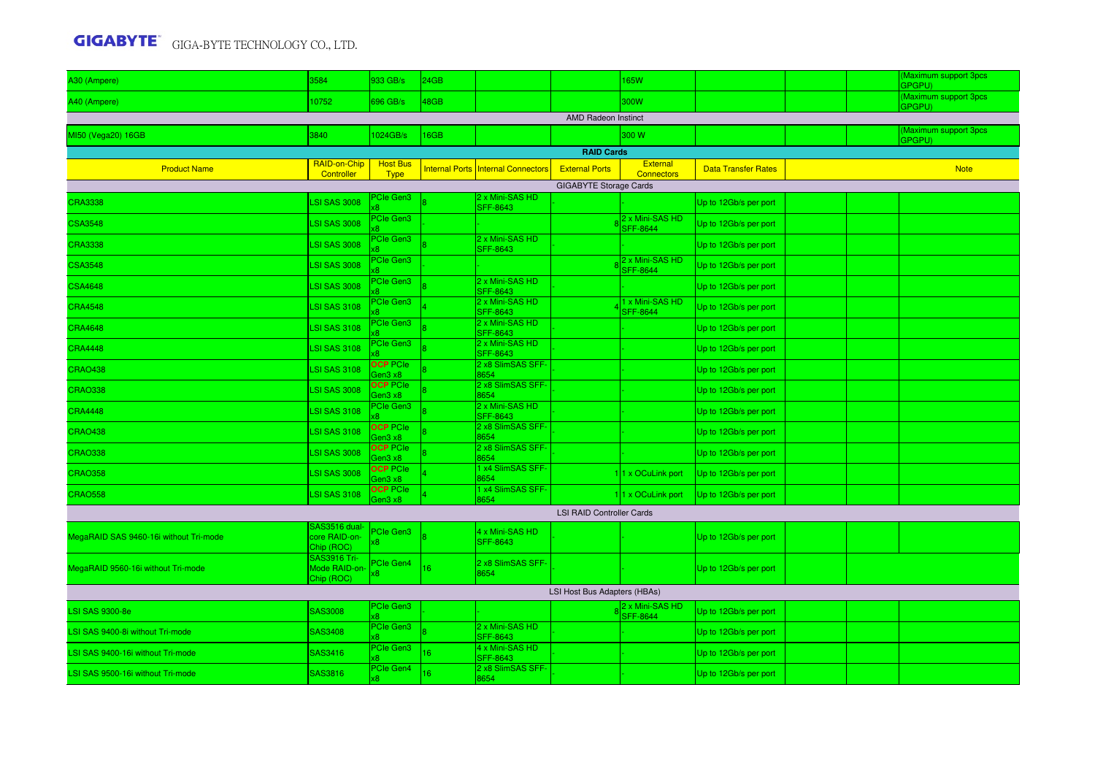| A30 (Ampere)                           | 3584                                         | 933 GB/s                       | 24GB       |                                           |                                  | 165W                                 |                            |  | Maximum support 3pcs<br>GPGPU) |
|----------------------------------------|----------------------------------------------|--------------------------------|------------|-------------------------------------------|----------------------------------|--------------------------------------|----------------------------|--|--------------------------------|
| A40 (Ampere)                           | 10752                                        | 696 GB/s                       | 18GB       |                                           |                                  | 300W                                 |                            |  | Maximum support 3pcs<br>GPGPU) |
|                                        |                                              |                                |            |                                           | <b>AMD Radeon Instinct</b>       |                                      |                            |  |                                |
| MI50 (Vega20) 16GB                     | 3840                                         | 024GB/s                        | <b>6GB</b> |                                           |                                  | 300 W                                |                            |  | Maximum support 3pcs<br>GPGPU) |
|                                        |                                              |                                |            |                                           | <b>RAID Cards</b>                |                                      |                            |  |                                |
| <b>Product Name</b>                    | RAID-on-Chip<br>Controller                   | <b>Host Bus</b><br><b>Type</b> |            | <b>Internal Ports Internal Connectors</b> | <b>External Ports</b>            | <b>External</b><br><b>Connectors</b> | <b>Data Transfer Rates</b> |  | <b>Note</b>                    |
|                                        |                                              |                                |            |                                           | <b>GIGABYTE Storage Cards</b>    |                                      |                            |  |                                |
| <b>CRA3338</b>                         | <b>LSI SAS 3008</b>                          | <b>Cle Gen3</b>                |            | 2 x Mini-SAS HD<br><b>SFF-8643</b>        |                                  |                                      | Up to 12Gb/s per port      |  |                                |
| <b>CSA3548</b>                         | <b>LSI SAS 3008</b>                          | <b>PCIe Gen3</b>               |            |                                           |                                  | 2 x Mini-SAS HD<br><b>SFF-8644</b>   | Up to 12Gb/s per port      |  |                                |
| <b>CRA3338</b>                         | <b>LSI SAS 3008</b>                          | PCIe Gen3                      |            | 2 x Mini-SAS HD<br><b>SFF-8643</b>        |                                  |                                      | Up to 12Gb/s per port      |  |                                |
| <b>CSA3548</b>                         | <b>LSI SAS 3008</b>                          | PCIe Gen3                      |            |                                           |                                  | 2 x Mini-SAS HD<br><b>SFF-8644</b>   | Up to 12Gb/s per port      |  |                                |
| <b>CSA4648</b>                         | <b>LSI SAS 3008</b>                          | PCIe Gen3                      |            | 2 x Mini-SAS HD<br>SFF-8643               |                                  |                                      | Up to 12Gb/s per port      |  |                                |
| <b>CRA4548</b>                         | <b>LSI SAS 3108</b>                          | <b>PCIe Gen3</b>               |            | 2 x Mini-SAS HD<br>SFF-8643               |                                  | 1 x Mini-SAS HD<br><b>SFF-8644</b>   | Up to 12Gb/s per port      |  |                                |
| <b>CRA4648</b>                         | <b>LSI SAS 3108</b>                          | <b>Cle Gen3</b>                |            | 2 x Mini-SAS HD<br>SFF-8643               |                                  |                                      | Up to 12Gb/s per port      |  |                                |
| <b>CRA4448</b>                         | <b>LSI SAS 3108</b>                          | Cle Gen3                       |            | 2 x Mini-SAS HD<br><b>SFF-8643</b>        |                                  |                                      | Up to 12Gb/s per port      |  |                                |
| <b>CRAO438</b>                         | <b>LSI SAS 3108</b>                          | <b>OCP</b> PCIe<br>Gen3 x8     |            | 2 x8 SlimSAS SFF-<br>8654                 |                                  |                                      | Up to 12Gb/s per port      |  |                                |
| <b>CRAO338</b>                         | <b>LSI SAS 3008</b>                          | <b>OCP</b> PCIe<br>Gen3 x8     |            | 2 x8 SlimSAS SFF-<br>8654                 |                                  |                                      | Up to 12Gb/s per port      |  |                                |
| <b>CRA4448</b>                         | <b>LSI SAS 3108</b>                          | <b>PCIe Gen3</b>               |            | 2 x Mini-SAS HD<br>SFF-8643               |                                  |                                      | Up to 12Gb/s per port      |  |                                |
| <b>CRAO438</b>                         | <b>LSI SAS 3108</b>                          | <b>OCP</b> PCIe<br>Gen3 x8     |            | 2 x8 SlimSAS SFF-<br>8654                 |                                  |                                      | Up to 12Gb/s per port      |  |                                |
| <b>CRAO338</b>                         | LSI SAS 3008                                 | <b>OCP</b> PCIe<br>Gen3 x8     |            | 2 x8 SlimSAS SFF-<br>3654                 |                                  |                                      | Up to 12Gb/s per port      |  |                                |
| <b>CRAO358</b>                         | LSI SAS 3008                                 | <b>OCP PCIe</b><br>aen3 x8     |            | x4 SlimSAS SFF-<br>3654                   |                                  | 11 x OCuLink port                    | Up to 12Gb/s per port      |  |                                |
| <b>CRAO558</b>                         | <b>LSI SAS 3108</b>                          | <b>OCP PCIe</b><br>Gen3 x8     |            | x4 SlimSAS SFF-<br>8654                   |                                  | 11 x OCuLink port                    | Up to 12Gb/s per port      |  |                                |
|                                        |                                              |                                |            |                                           | <b>LSI RAID Controller Cards</b> |                                      |                            |  |                                |
| MegaRAID SAS 9460-16i without Tri-mode | SAS3516 dual-<br>core RAID-on-<br>Chip (ROC) | Cle Gen3<br>$\overline{8}$     |            | 4 x Mini-SAS HD<br><b>SFF-8643</b>        |                                  |                                      | Up to 12Gb/s per port      |  |                                |
| MegaRAID 9560-16i without Tri-mode     | SAS3916 Tri-<br>Mode RAID-on-<br>Chip (ROC)  | PCIe Gen4<br>8x                | 16         | 2 x8 SlimSAS SFF-<br>8654                 |                                  |                                      | Up to 12Gb/s per port      |  |                                |
|                                        |                                              |                                |            |                                           | LSI Host Bus Adapters (HBAs)     |                                      |                            |  |                                |
| <b>LSI SAS 9300-8e</b>                 | SAS3008                                      | <b>PCIe Gen3</b>               |            |                                           |                                  | 2 x Mini-SAS HD<br><b>SFF-8644</b>   | Up to 12Gb/s per port      |  |                                |
| LSI SAS 9400-8i without Tri-mode       | SAS3408                                      | PCIe Gen3                      |            | 2 x Mini-SAS HD<br><b>SFF-8643</b>        |                                  |                                      | Up to 12Gb/s per port      |  |                                |
| LSI SAS 9400-16i without Tri-mode      | SAS3416                                      | PCIe Gen3                      | 16         | 4 x Mini-SAS HD<br>SFF-8643               |                                  |                                      | Up to 12Gb/s per port      |  |                                |
| LSI SAS 9500-16i without Tri-mode      | SAS3816                                      | PCIe Gen4                      | 16         | 2 x8 SlimSAS SFF-<br>654                  |                                  |                                      | Up to 12Gb/s per port      |  |                                |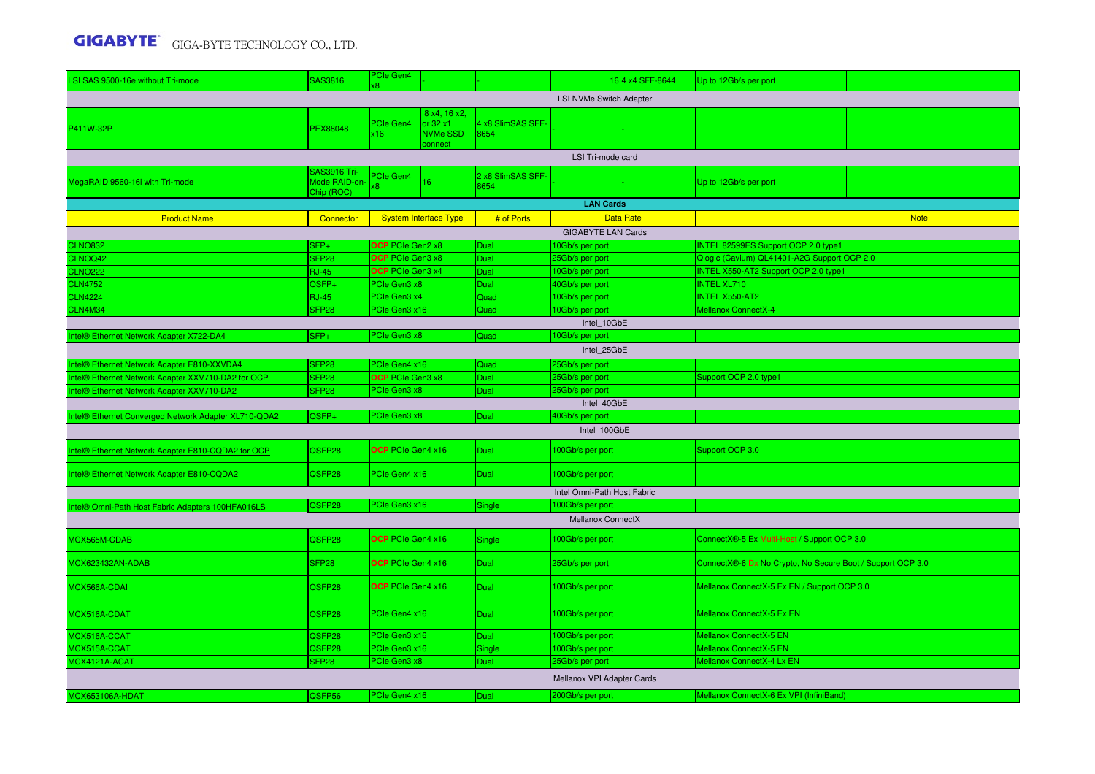| LSI SAS 9500-16e without Tri-mode                                                                                                                  | SAS3816                           | <sup>P</sup> Cle Gen4<br>(8) |                                                                |                           |                                    | 164 x4 SFF-8644  | Up to 12Gb/s per port                                      |  |  |             |  |  |
|----------------------------------------------------------------------------------------------------------------------------------------------------|-----------------------------------|------------------------------|----------------------------------------------------------------|---------------------------|------------------------------------|------------------|------------------------------------------------------------|--|--|-------------|--|--|
|                                                                                                                                                    |                                   |                              |                                                                |                           | <b>LSI NVMe Switch Adapter</b>     |                  |                                                            |  |  |             |  |  |
| P411W-32P                                                                                                                                          | PEX88048                          | PCIe Gen4<br>(16)            | 8 x4, 16 x2,<br>or $32 \times 1$<br><b>NVMe SSD</b><br>connect | 4 x8 SlimSAS SFF-<br>8654 | LSI Tri-mode card                  |                  |                                                            |  |  |             |  |  |
| SAS3916 Tri-                                                                                                                                       |                                   |                              |                                                                |                           |                                    |                  |                                                            |  |  |             |  |  |
| MegaRAID 9560-16i with Tri-mode                                                                                                                    | Mode RAID-on<br>Chip (ROC)        | <sup>P</sup> Cle Gen4<br>8   | 16                                                             | 2 x8 SlimSAS SFF-<br>8654 |                                    |                  | Up to 12Gb/s per port                                      |  |  |             |  |  |
|                                                                                                                                                    |                                   |                              |                                                                |                           | <b>LAN Cards</b>                   |                  |                                                            |  |  |             |  |  |
| <b>Product Name</b>                                                                                                                                | Connector                         |                              | <b>System Interface Type</b>                                   | # of Ports                |                                    | <b>Data Rate</b> |                                                            |  |  | <b>Note</b> |  |  |
| <b>GIGABYTE LAN Cards</b><br><b>CLNO832</b><br>$SFP+$<br><b>OCP</b> PCIe Gen2 x8<br>10Gb/s per port<br>INTEL 82599ES Support OCP 2.0 type1<br>Dual |                                   |                              |                                                                |                           |                                    |                  |                                                            |  |  |             |  |  |
|                                                                                                                                                    |                                   | OCP PCIe Gen3 x8             |                                                                |                           |                                    |                  | Qlogic (Cavium) QL41401-A2G Support OCP 2.0                |  |  |             |  |  |
| CLNOQ42<br><b>CLNO222</b>                                                                                                                          | SFP <sub>28</sub><br><b>RJ-45</b> | OCP PCIe Gen3 x4             |                                                                | Dual<br>Dual              | 25Gb/s per port<br>10Gb/s per port |                  | INTEL X550-AT2 Support OCP 2.0 type1                       |  |  |             |  |  |
| <b>CLN4752</b>                                                                                                                                     | QSFP+                             | <b>PCIe Gen3 x8</b>          |                                                                | Dual                      | 40Gb/s per port                    |                  | <b>INTEL XL710</b>                                         |  |  |             |  |  |
| <b>CLN4224</b>                                                                                                                                     | <b>RJ-45</b>                      | PCIe Gen3 x4                 |                                                                | Quad                      | 10Gb/s per port                    |                  | <b>INTEL X550-AT2</b>                                      |  |  |             |  |  |
| CLN4M34                                                                                                                                            | SFP <sub>28</sub>                 | PCIe Gen3 x16                |                                                                | Quad                      | 10Gb/s per port                    |                  | Mellanox ConnectX-4                                        |  |  |             |  |  |
| Intel 10GbE                                                                                                                                        |                                   |                              |                                                                |                           |                                    |                  |                                                            |  |  |             |  |  |
| SFP+<br><b>PCIe Gen3 x8</b><br>ntel® Ethernet Network Adapter X722-DA4<br>10Gb/s per port<br>Quad                                                  |                                   |                              |                                                                |                           |                                    |                  |                                                            |  |  |             |  |  |
| Intel 25GbE                                                                                                                                        |                                   |                              |                                                                |                           |                                    |                  |                                                            |  |  |             |  |  |
| ntel® Ethernet Network Adapter E810-XXVDA4                                                                                                         | SFP <sub>28</sub>                 | PCIe Gen4 x16                |                                                                | Quad                      | 25Gb/s per port                    |                  |                                                            |  |  |             |  |  |
| Intel® Ethernet Network Adapter XXV710-DA2 for OCP                                                                                                 | SFP <sub>28</sub>                 | OCP PCIe Gen3 x8             |                                                                | Dual                      | 25Gb/s per port                    |                  | Support OCP 2.0 type1                                      |  |  |             |  |  |
| Intel® Ethernet Network Adapter XXV710-DA2                                                                                                         | SFP <sub>28</sub>                 | <b>PCIe Gen3 x8</b>          |                                                                | <b>Dual</b>               | 25Gb/s per port                    |                  |                                                            |  |  |             |  |  |
| Intel 40GbE                                                                                                                                        |                                   |                              |                                                                |                           |                                    |                  |                                                            |  |  |             |  |  |
| PCIe Gen3 x8<br>Intel® Ethernet Converged Network Adapter XL710-QDA2<br>QSFP+<br>40Gb/s per port<br>Dual                                           |                                   |                              |                                                                |                           |                                    |                  |                                                            |  |  |             |  |  |
|                                                                                                                                                    |                                   |                              |                                                                |                           | Intel 100GbE                       |                  |                                                            |  |  |             |  |  |
| Intel® Ethernet Network Adapter E810-CQDA2 for OCP                                                                                                 | QSFP28                            | OCP PCIe Gen4 x16            |                                                                | Dual                      | 100Gb/s per port                   |                  | Support OCP 3.0                                            |  |  |             |  |  |
| Intel® Ethernet Network Adapter E810-CQDA2                                                                                                         | QSFP28                            | PCIe Gen4 x16                |                                                                | Dual                      | 100Gb/s per port                   |                  |                                                            |  |  |             |  |  |
|                                                                                                                                                    |                                   |                              |                                                                |                           | Intel Omni-Path Host Fabric        |                  |                                                            |  |  |             |  |  |
| Intel® Omni-Path Host Fabric Adapters 100HFA016LS                                                                                                  | QSFP28                            | PCIe Gen3 x16                |                                                                | Single                    | 100Gb/s per port                   |                  |                                                            |  |  |             |  |  |
|                                                                                                                                                    |                                   |                              |                                                                |                           | Mellanox ConnectX                  |                  |                                                            |  |  |             |  |  |
| MCX565M-CDAB                                                                                                                                       | QSFP28                            | OCP PCIe Gen4 x16            |                                                                | Single                    | 100Gb/s per port                   |                  | ConnectX®-5 Ex Multi-Host / Support OCP 3.0                |  |  |             |  |  |
| MCX623432AN-ADAB                                                                                                                                   | SFP <sub>28</sub>                 | OCP PCIe Gen4 x16            |                                                                | <b>Dual</b>               | 25Gb/s per port                    |                  | ConnectX®-6 Dx No Crypto, No Secure Boot / Support OCP 3.0 |  |  |             |  |  |
| MCX566A-CDAI                                                                                                                                       | QSFP28                            | <b>OCP</b> PCIe Gen4 x16     |                                                                | Dual                      | 100Gb/s per port                   |                  | Mellanox ConnectX-5 Ex EN / Support OCP 3.0                |  |  |             |  |  |
| MCX516A-CDAT                                                                                                                                       | QSFP28                            | PCIe Gen4 x16                |                                                                | Dual                      | 100Gb/s per port                   |                  | Mellanox ConnectX-5 Ex EN                                  |  |  |             |  |  |
| MCX516A-CCAT                                                                                                                                       | QSFP28                            | PCIe Gen3 x16                |                                                                | Dual                      | 100Gb/s per port                   |                  | Mellanox ConnectX-5 EN                                     |  |  |             |  |  |
| MCX515A-CCAT                                                                                                                                       | QSFP28                            | PCIe Gen3 x16                |                                                                | Single                    | 100Gb/s per port                   |                  | Mellanox ConnectX-5 EN                                     |  |  |             |  |  |
| MCX4121A-ACAT                                                                                                                                      | SFP <sub>28</sub>                 | PCIe Gen3 x8                 |                                                                | <b>Dual</b>               | 25Gb/s per port                    |                  | Mellanox ConnectX-4 Lx EN                                  |  |  |             |  |  |
|                                                                                                                                                    |                                   |                              |                                                                |                           | Mellanox VPI Adapter Cards         |                  |                                                            |  |  |             |  |  |
| <b>MCX653106A-HDAT</b>                                                                                                                             | QSFP56                            | PCIe Gen4 x16                |                                                                | Dual                      | 200Gb/s per port                   |                  | Mellanox ConnectX-6 Ex VPI (InfiniBand)                    |  |  |             |  |  |